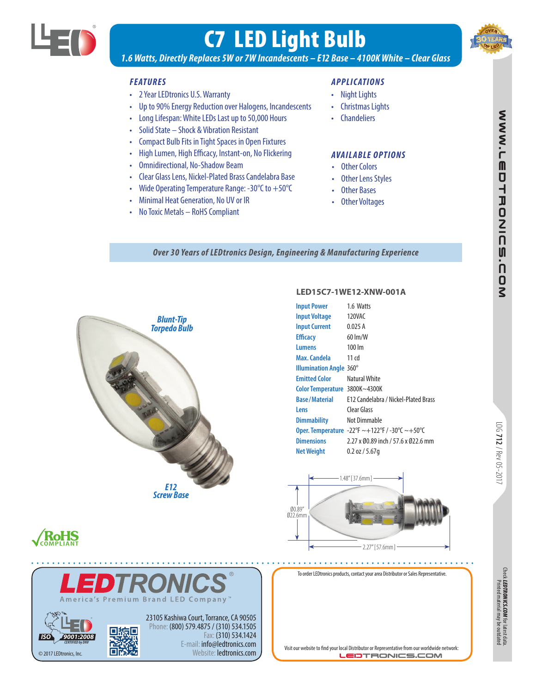

# C7 LED Light Bulb



*1.6 Watts, Directly Replaces 5W or 7W Incandescents – E12 Base – 4100K White – Clear Glass*

#### *FEATURES*

- 2 Year LEDtronics U.S. Warranty
- Up to 90% Energy Reduction over Halogens, Incandescents
- Long Lifespan: White LEDs Last up to 50,000 Hours
- Solid State Shock & Vibration Resistant
- Compact Bulb Fits in Tight Spaces in Open Fixtures
- High Lumen, High Efficacy, Instant-on, No Flickering
- Omnidirectional, No-Shadow Beam
- Clear Glass Lens, Nickel-Plated Brass Candelabra Base
- Wide Operating Temperature Range: -30°C to +50°C
- Minimal Heat Generation, No UV or IR
- No Toxic Metals RoHS Compliant

#### *APPLICATIONS*

- Night Lights
- Christmas Lights
- Chandeliers

#### *AVAILABLE OPTIONS*

- Other Colors
- Other Lens Styles
- Other Bases
- Other Voltages

*Over 30 Years of LEDtronics Design, Engineering & Manufacturing Experience*



#### **LED15C7-1WE12-XNW-001A**

| <b>Input Power</b>             | 1.6 Watts                                            |
|--------------------------------|------------------------------------------------------|
| <b>Input Voltage</b>           | 120VAC                                               |
| <b>Input Current</b>           | 0.025A                                               |
| <b>Efficacy</b>                | $60 \, \text{Im/W}$                                  |
| Lumens                         | $100 \, \text{Im}$                                   |
| Max. Candela                   | 11 cd                                                |
| <b>Illumination Angle 360°</b> |                                                      |
| <b>Emitted Color</b>           | Natural White                                        |
| <b>Color Temperature</b>       | 3800K~4300K                                          |
| <b>Base/Material</b>           | F12 Candelabra / Nickel-Plated Brass                 |
| Lens                           | Clear Glass                                          |
| <b>Dimmability</b>             | Not Dimmable                                         |
|                                | <b>Oper. Temperature</b> -22°F ~+122°F /-30°C ~+50°C |
| <b>Dimensions</b>              | 2.27 x 00.89 inch / 57.6 x 022.6 mm                  |
| <b>Net Weight</b>              | $0.2$ oz / 5.67q                                     |
|                                |                                                      |



## **RoHS**



To order LEDtronics products, contact your area Distributor or Sales Representative.

Chec**k** *LEDTRONICS.COM* for latest data.<br>Printed material may be outdated *LEDTRONICS.COM* for latest data. Printed material may be outdated.

Visit our website to find your local Distributor or Representative from our worldwide network: **LEDTRONICS.COM** 

LOG **712**

/ Rev 05-2017